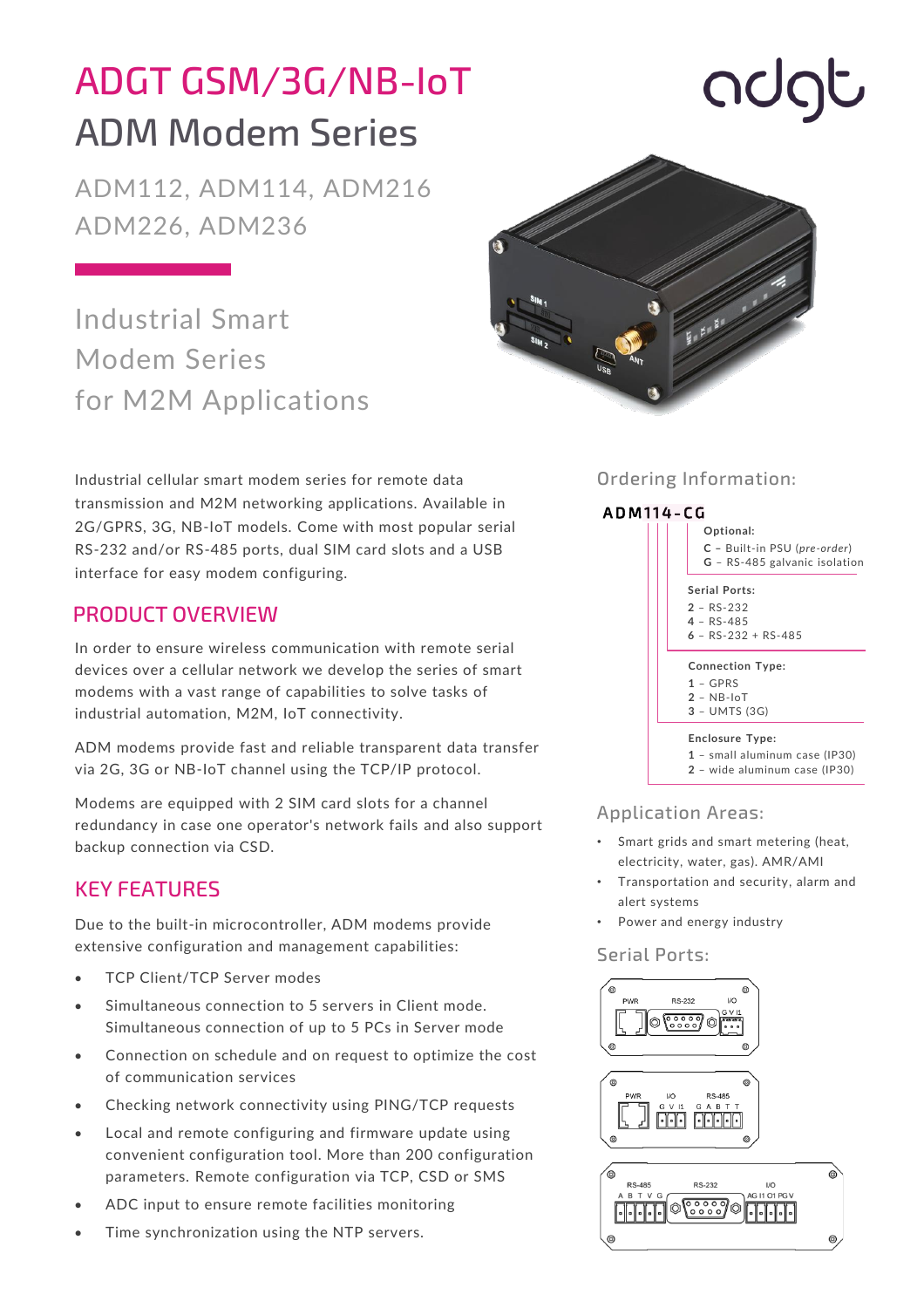## ADGT GSM/3G/NB-IoT ADM Modem Series

ADM112, ADM114, ADM216 ADM226, ADM236

### Industrial Smart Modem Series for M2M Applications

Industrial cellular smart modem series for remote data transmission and M2M networking applications. Available in 2G/GPRS, 3G, NB-IoT models. Come with most popular serial RS-232 and/or RS-485 ports, dual SIM card slots and a USB interface for easy modem configuring.

#### PRODUCT OVERVIEW

In order to ensure wireless communication with remote serial devices over a cellular network we develop the series of smart modems with a vast range of capabilities to solve tasks of industrial automation, M2M, IoT connectivity.

ADM modems provide fast and reliable transparent data transfer via 2G, 3G or NB-IoT channel using the TCP/IP protocol.

Modems are equipped with 2 SIM card slots for a channel redundancy in case one operator's network fails and also support backup connection via CSD.

#### KEY FEATURES

Due to the built-in microcontroller, ADM modems provide extensive configuration and management capabilities:

- TCP Client/TCP Server modes
- Simultaneous connection to 5 servers in Client mode. Simultaneous connection of up to 5 PCs in Server mode
- Connection on schedule and on request to optimize the cost of communication services
- Checking network connectivity using PING/TCP requests
- Local and remote configuring and firmware update using convenient configuration tool. More than 200 configuration parameters. Remote configuration via TCP, CSD or SMS
- ADC input to ensure remote facilities monitoring
- Time synchronization using the NTP servers.



#### Ordering Information:



**2** – wide aluminum case (IP30)

#### Application Areas:

- Smart grids and smart metering (heat, electricity, water, gas). AMR/AMI
- Transportation and security, alarm and alert systems
- Power and energy industry

#### Serial Ports:



# **OOC**